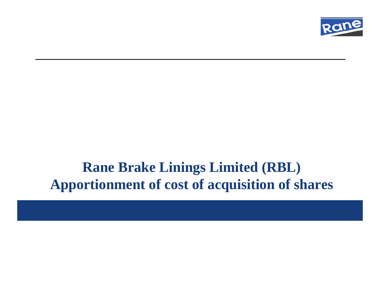

#### **Rane Brake Linings Limited (RBL) Apportionment of cost of acquisition of shares**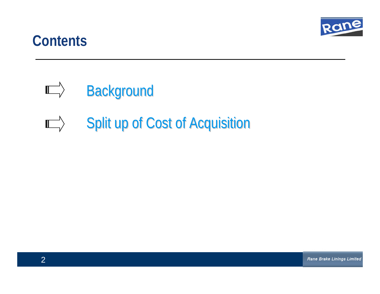

#### **Contents Contents**

- $\Box$ **Background**
- $\begin{picture}(150,10) \put(0,0){\line(1,0){10}} \put(15,0){\line(1,0){10}} \put(15,0){\line(1,0){10}} \put(15,0){\line(1,0){10}} \put(15,0){\line(1,0){10}} \put(15,0){\line(1,0){10}} \put(15,0){\line(1,0){10}} \put(15,0){\line(1,0){10}} \put(15,0){\line(1,0){10}} \put(15,0){\line(1,0){10}} \put(15,0){\line(1,0){10}} \put(15,0){\line($ Split up of Cost of Acquisition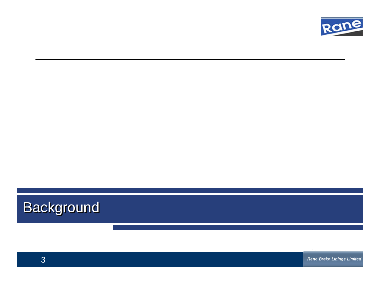

# **Background**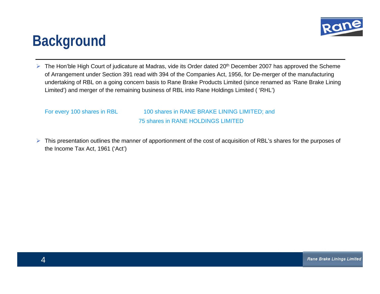

### **Background Background**

 $\triangleright$  The Hon'ble High Court of judicature at Madras, vide its Order dated 20<sup>th</sup> December 2007 has approved the Scheme of Arrangement under Section 391 read with 394 of the Companies Act, 1956, for De-merger of the manufacturing of Arrangement under Section 391 read with 394 of the Companies Act, 1956, for De-merger of the manufacturing undertaking of RBL on a going concern basis to Rane Brake Products Limited (since renamed as 'Rane Brake Lining undertaking of RBL on a going concern basis to Rane Brake Products Limited (since renamed as 'Rane Brake Lining Limited') and merger of the remaining business of RBL into Rane Holdings Limited ( 'RHL') Limited') and merger of the remaining business of RBL into Rane Holdings Limited ( 'RHL')

For every 100 shares in RBL 100 shares in RANE BRAKE LINING LIMITED; and For every 100 shares in RBL 100 shares in RANE BRAKE LINING LIMITED; and 75 shares in RANE HOLDINGS LIMITED

 $\triangleright$  This presentation outlines the manner of apportionment of the cost of acquisition of RBL's shares for the purposes of the Income Tax Act, 1961 ('Act') the Income Tax Act, 1961 ('Act')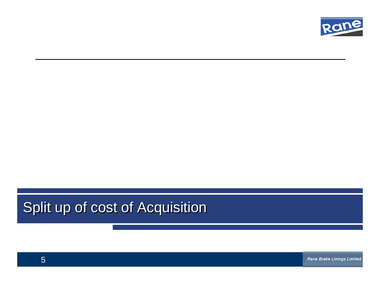

#### Split up of cost of Acquisition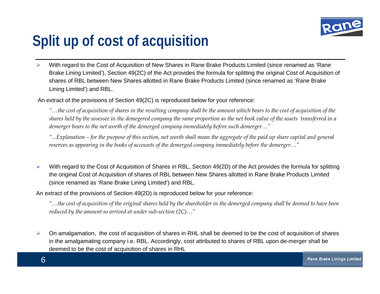

# **Split up of cost of acquisition Split up of cost of acquisition**

¾ With regard to the Cost of Acquisition of New Shares in Rane Brake Products Limited (since renamed as 'Rane With regard to the Cost of Acquisition of New Shares in Rane Brake Products Limited (since renamed as 'Rane Brake Lining Limited'), Section 49(2C) of the Act provides the formula for splitting the original Cost of Acquisition of shares of RBL between New Shares allotted in Rane Brake Products Limited (since renamed as 'Rane Brake shares of RBL between New Shares allotted in Rane Brake Products Limited (since renamed as 'Rane Brake Lining Limited') and RBL. Lining Limited') and RBL. ¾

An extract of the provisions of Section 49(2C) is reproduced below for your reference: An extract of the provisions of Section 49(2C) is reproduced below for your reference:

"…the cost of acquisition of shares in the resulting company shall be the amount which bears to the cost of acquisition of the shares held by the assessee in the demegered company the same proportion as the net book value of the assets transferred in a *demerger bears to the net worth of the demerged company immediately before such demerger…" demerger bears to the net worth of the demerged company immediately before such demerger…"*

"…Explanation – for the purpose of this section, net worth shall mean the aggregate of the paid up share capital and general reserves as appearing in the books of accounts of the demerged company immediately before the demerger..."

¾¾▶ With regard to the Cost of Acquisition of Shares in RBL, Section 49(2D) of the Act provides the formula for splitting the original Cost of Acquisition of shares of RBL between New Shares allotted in Rane Brake Products Limited the original Cost of Acquisition of shares of RBL between New Shares allotted in Rane Brake Products Limited (since renamed as 'Rane Brake Lining Limited') and RBL. (since renamed as 'Rane Brake Lining Limited') and RBL.

An extract of the provisions of Section 49(2D) is reproduced below for your reference: An extract of the provisions of Section 49(2D) is reproduced below for your reference:

"…the cost of acquisition of the original shares held by the shareholder in the demerged company shall be deemed to have been " *reduced by the amount so arrived at under sub-section (2C)…" reduced by the amount so arrived at under sub-section (2C)…"*

6¾¾▶ On amalgamation, the cost of acquisition of shares in RHL shall be deemed to be the cost of acquisition of shares in the amalgamating company i.e. RBL. Accordingly, cost attributed to shares of RBL upon de-merger shall be in the amalgamating company i.e. RBL. Accordingly, cost attributed to shares of RBL upon de-merger shall be deemed to be the cost of acquisition of shares in RHL deemed to be the cost of acquisition of shares in RHL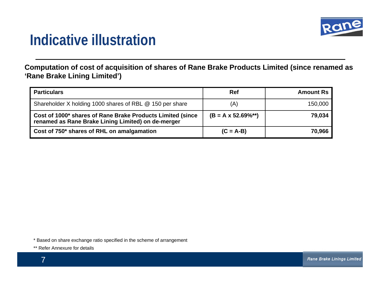

### **Indicative illustration Indicative illustration**

**Computation of cost of acquisition of shares of Rane Brake Products Limited (since renamed as 'Rane Brake Lining Limited')**

| <b>Particulars</b>                                                                                               | Ref                           | <b>Amount Rs</b> |
|------------------------------------------------------------------------------------------------------------------|-------------------------------|------------------|
| Shareholder X holding 1000 shares of RBL @ 150 per share                                                         | (A)                           | 150,000          |
| Cost of 1000* shares of Rane Brake Products Limited (since<br>renamed as Rane Brake Lining Limited) on de-merger | $(B = A \times 52.69\%^{**})$ | 79,034           |
| Cost of 750* shares of RHL on amalgamation                                                                       | $(C = A-B)$                   | 70,966           |

\* Based on share exchange ratio specified in the scheme of arrangement

\*\* Refer Annexure for details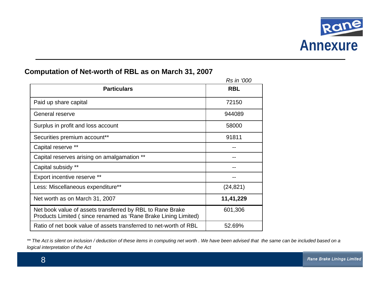

|                                                                                                                             | Rs in '000 |
|-----------------------------------------------------------------------------------------------------------------------------|------------|
| <b>Particulars</b>                                                                                                          | <b>RBL</b> |
| Paid up share capital                                                                                                       | 72150      |
| General reserve                                                                                                             | 944089     |
| Surplus in profit and loss account                                                                                          | 58000      |
| Securities premium account**                                                                                                | 91811      |
| Capital reserve **                                                                                                          |            |
| Capital reserves arising on amalgamation **                                                                                 |            |
| Capital subsidy **                                                                                                          |            |
| <b>Export incentive reserve **</b>                                                                                          |            |
| Less: Miscellaneous expenditure**                                                                                           | (24, 821)  |
| Net worth as on March 31, 2007                                                                                              | 11,41,229  |
| Net book value of assets transferred by RBL to Rane Brake<br>Products Limited (since renamed as 'Rane Brake Lining Limited) | 601,306    |
| Ratio of net book value of assets transferred to net-worth of RBL                                                           | 52.69%     |

#### **Computation of Net-worth of RBL as on March 31, 2007**

\*\* The Act is silent on inclusion / deduction of these items in computing net worth . We have been advised that the same can be included based on a *logical interpretation of the Act*